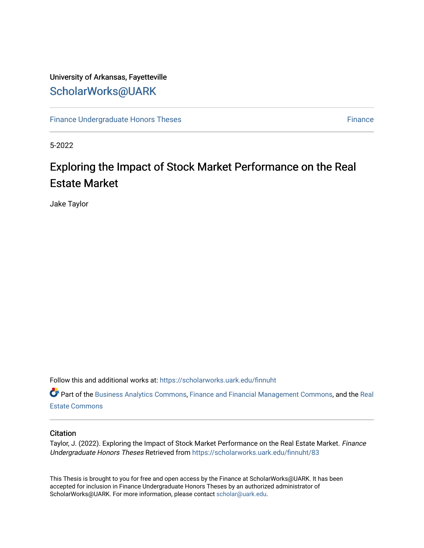## University of Arkansas, Fayetteville [ScholarWorks@UARK](https://scholarworks.uark.edu/)

[Finance Undergraduate Honors Theses](https://scholarworks.uark.edu/finnuht) **[Finance](https://scholarworks.uark.edu/finn) Executes** Finance Finance

5-2022

# Exploring the Impact of Stock Market Performance on the Real Estate Market

Jake Taylor

Follow this and additional works at: [https://scholarworks.uark.edu/finnuht](https://scholarworks.uark.edu/finnuht?utm_source=scholarworks.uark.edu%2Ffinnuht%2F83&utm_medium=PDF&utm_campaign=PDFCoverPages)

Part of the [Business Analytics Commons](http://network.bepress.com/hgg/discipline/1398?utm_source=scholarworks.uark.edu%2Ffinnuht%2F83&utm_medium=PDF&utm_campaign=PDFCoverPages), [Finance and Financial Management Commons](http://network.bepress.com/hgg/discipline/631?utm_source=scholarworks.uark.edu%2Ffinnuht%2F83&utm_medium=PDF&utm_campaign=PDFCoverPages), and the Real [Estate Commons](http://network.bepress.com/hgg/discipline/641?utm_source=scholarworks.uark.edu%2Ffinnuht%2F83&utm_medium=PDF&utm_campaign=PDFCoverPages) 

#### **Citation**

Taylor, J. (2022). Exploring the Impact of Stock Market Performance on the Real Estate Market. Finance Undergraduate Honors Theses Retrieved from [https://scholarworks.uark.edu/finnuht/83](https://scholarworks.uark.edu/finnuht/83?utm_source=scholarworks.uark.edu%2Ffinnuht%2F83&utm_medium=PDF&utm_campaign=PDFCoverPages)

This Thesis is brought to you for free and open access by the Finance at ScholarWorks@UARK. It has been accepted for inclusion in Finance Undergraduate Honors Theses by an authorized administrator of ScholarWorks@UARK. For more information, please contact [scholar@uark.edu](mailto:scholar@uark.edu).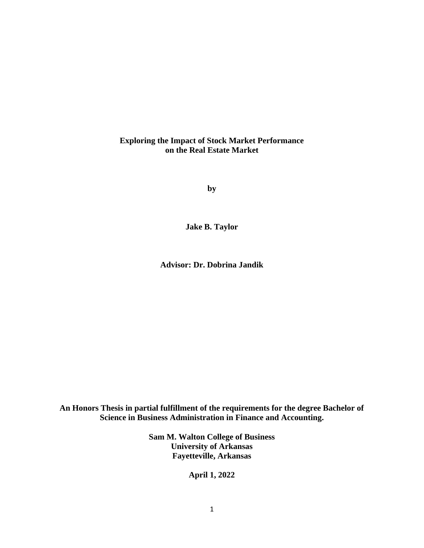### **Exploring the Impact of Stock Market Performance on the Real Estate Market**

**by**

**Jake B. Taylor**

**Advisor: Dr. Dobrina Jandik**

**An Honors Thesis in partial fulfillment of the requirements for the degree Bachelor of Science in Business Administration in Finance and Accounting.**

> **Sam M. Walton College of Business University of Arkansas Fayetteville, Arkansas**

> > **April 1, 2022**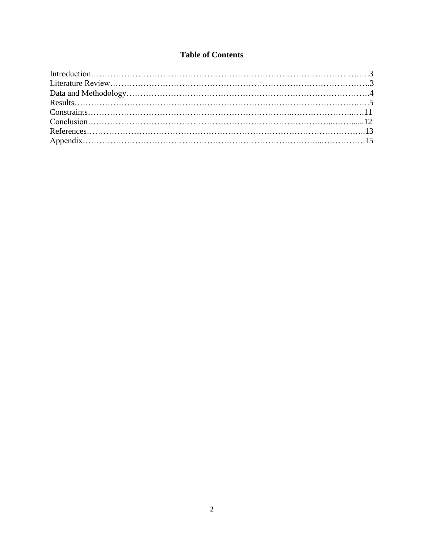## **Table of Contents**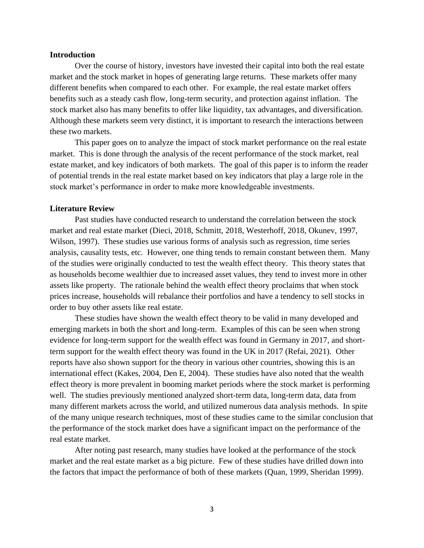#### **Introduction**

Over the course of history, investors have invested their capital into both the real estate market and the stock market in hopes of generating large returns. These markets offer many different benefits when compared to each other. For example, the real estate market offers benefits such as a steady cash flow, long-term security, and protection against inflation. The stock market also has many benefits to offer like liquidity, tax advantages, and diversification. Although these markets seem very distinct, it is important to research the interactions between these two markets.

 This paper goes on to analyze the impact of stock market performance on the real estate market. This is done through the analysis of the recent performance of the stock market, real estate market, and key indicators of both markets. The goal of this paper is to inform the reader of potential trends in the real estate market based on key indicators that play a large role in the stock market's performance in order to make more knowledgeable investments.

#### **Literature Review**

Past studies have conducted research to understand the correlation between the stock market and real estate market (Dieci, 2018, Schmitt, 2018, Westerhoff, 2018, Okunev, 1997, Wilson, 1997). These studies use various forms of analysis such as regression, time series analysis, causality tests, etc. However, one thing tends to remain constant between them. Many of the studies were originally conducted to test the wealth effect theory. This theory states that as households become wealthier due to increased asset values, they tend to invest more in other assets like property. The rationale behind the wealth effect theory proclaims that when stock prices increase, households will rebalance their portfolios and have a tendency to sell stocks in order to buy other assets like real estate.

 These studies have shown the wealth effect theory to be valid in many developed and emerging markets in both the short and long-term. Examples of this can be seen when strong evidence for long-term support for the wealth effect was found in Germany in 2017, and shortterm support for the wealth effect theory was found in the UK in 2017 (Refai, 2021). Other reports have also shown support for the theory in various other countries, showing this is an international effect (Kakes, 2004, Den E, 2004). These studies have also noted that the wealth effect theory is more prevalent in booming market periods where the stock market is performing well. The studies previously mentioned analyzed short-term data, long-term data, data from many different markets across the world, and utilized numerous data analysis methods. In spite of the many unique research techniques, most of these studies came to the similar conclusion that the performance of the stock market does have a significant impact on the performance of the real estate market.

 After noting past research, many studies have looked at the performance of the stock market and the real estate market as a big picture. Few of these studies have drilled down into the factors that impact the performance of both of these markets (Quan, 1999, Sheridan 1999).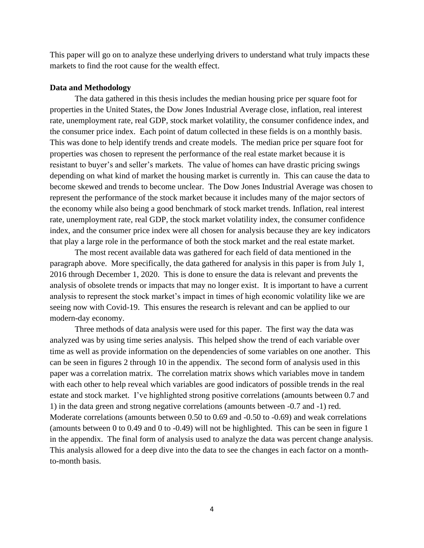This paper will go on to analyze these underlying drivers to understand what truly impacts these markets to find the root cause for the wealth effect.

#### **Data and Methodology**

The data gathered in this thesis includes the median housing price per square foot for properties in the United States, the Dow Jones Industrial Average close, inflation, real interest rate, unemployment rate, real GDP, stock market volatility, the consumer confidence index, and the consumer price index. Each point of datum collected in these fields is on a monthly basis. This was done to help identify trends and create models. The median price per square foot for properties was chosen to represent the performance of the real estate market because it is resistant to buyer's and seller's markets. The value of homes can have drastic pricing swings depending on what kind of market the housing market is currently in. This can cause the data to become skewed and trends to become unclear. The Dow Jones Industrial Average was chosen to represent the performance of the stock market because it includes many of the major sectors of the economy while also being a good benchmark of stock market trends. Inflation, real interest rate, unemployment rate, real GDP, the stock market volatility index, the consumer confidence index, and the consumer price index were all chosen for analysis because they are key indicators that play a large role in the performance of both the stock market and the real estate market.

 The most recent available data was gathered for each field of data mentioned in the paragraph above. More specifically, the data gathered for analysis in this paper is from July 1, 2016 through December 1, 2020. This is done to ensure the data is relevant and prevents the analysis of obsolete trends or impacts that may no longer exist. It is important to have a current analysis to represent the stock market's impact in times of high economic volatility like we are seeing now with Covid-19. This ensures the research is relevant and can be applied to our modern-day economy.

 Three methods of data analysis were used for this paper. The first way the data was analyzed was by using time series analysis. This helped show the trend of each variable over time as well as provide information on the dependencies of some variables on one another. This can be seen in figures 2 through 10 in the appendix. The second form of analysis used in this paper was a correlation matrix. The correlation matrix shows which variables move in tandem with each other to help reveal which variables are good indicators of possible trends in the real estate and stock market. I've highlighted strong positive correlations (amounts between 0.7 and 1) in the data green and strong negative correlations (amounts between -0.7 and -1) red. Moderate correlations (amounts between 0.50 to 0.69 and -0.50 to -0.69) and weak correlations (amounts between 0 to 0.49 and 0 to -0.49) will not be highlighted. This can be seen in figure 1 in the appendix. The final form of analysis used to analyze the data was percent change analysis. This analysis allowed for a deep dive into the data to see the changes in each factor on a monthto-month basis.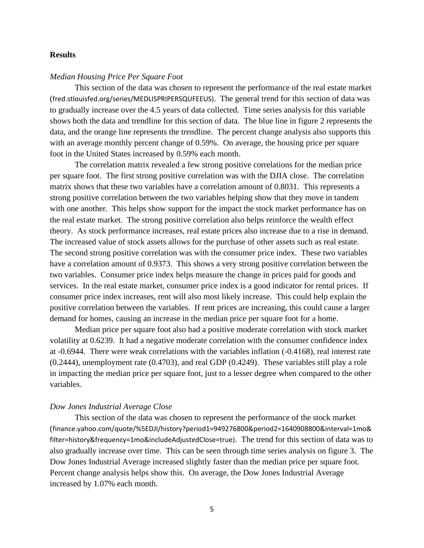#### **Results**

#### *Median Housing Price Per Square Foot*

 This section of the data was chosen to represent the performance of the real estate market (fred.stlouisfed.org/series/MEDLISPRIPERSQUFEEUS). The general trend for this section of data was to gradually increase over the 4.5 years of data collected. Time series analysis for this variable shows both the data and trendline for this section of data. The blue line in figure 2 represents the data, and the orange line represents the trendline. The percent change analysis also supports this with an average monthly percent change of 0.59%. On average, the housing price per square foot in the United States increased by 0.59% each month.

 The correlation matrix revealed a few strong positive correlations for the median price per square foot. The first strong positive correlation was with the DJIA close. The correlation matrix shows that these two variables have a correlation amount of 0.8031. This represents a strong positive correlation between the two variables helping show that they move in tandem with one another. This helps show support for the impact the stock market performance has on the real estate market. The strong positive correlation also helps reinforce the wealth effect theory. As stock performance increases, real estate prices also increase due to a rise in demand. The increased value of stock assets allows for the purchase of other assets such as real estate. The second strong positive correlation was with the consumer price index. These two variables have a correlation amount of 0.9373. This shows a very strong positive correlation between the two variables. Consumer price index helps measure the change in prices paid for goods and services. In the real estate market, consumer price index is a good indicator for rental prices. If consumer price index increases, rent will also most likely increase. This could help explain the positive correlation between the variables. If rent prices are increasing, this could cause a larger demand for homes, causing an increase in the median price per square foot for a home.

 Median price per square foot also had a positive moderate correlation with stock market volatility at 0.6239. It had a negative moderate correlation with the consumer confidence index at -0.6944. There were weak correlations with the variables inflation (-0.4168), real interest rate (0.2444), unemployment rate (0.4703), and real GDP (0.4249). These variables still play a role in impacting the median price per square foot, just to a lesser degree when compared to the other variables.

#### *Dow Jones Industrial Average Close*

 This section of the data was chosen to represent the performance of the stock market (finance.yahoo.com/quote/%5EDJI/history?period1=949276800&period2=1640908800&interval=1mo& filter=history&frequency=1mo&includeAdjustedClose=true). The trend for this section of data was to also gradually increase over time. This can be seen through time series analysis on figure 3. The Dow Jones Industrial Average increased slightly faster than the median price per square foot. Percent change analysis helps show this. On average, the Dow Jones Industrial Average increased by 1.07% each month.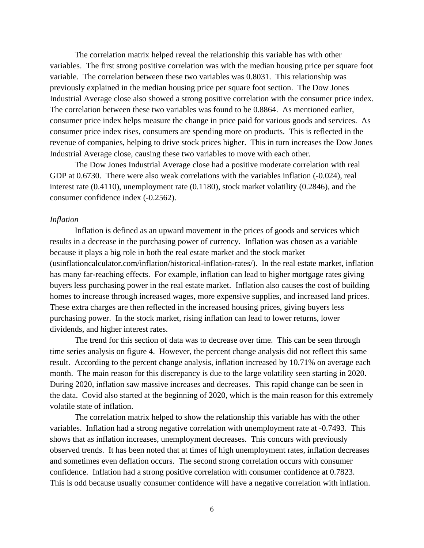The correlation matrix helped reveal the relationship this variable has with other variables. The first strong positive correlation was with the median housing price per square foot variable. The correlation between these two variables was 0.8031. This relationship was previously explained in the median housing price per square foot section. The Dow Jones Industrial Average close also showed a strong positive correlation with the consumer price index. The correlation between these two variables was found to be 0.8864. As mentioned earlier, consumer price index helps measure the change in price paid for various goods and services. As consumer price index rises, consumers are spending more on products. This is reflected in the revenue of companies, helping to drive stock prices higher. This in turn increases the Dow Jones Industrial Average close, causing these two variables to move with each other.

 The Dow Jones Industrial Average close had a positive moderate correlation with real GDP at 0.6730. There were also weak correlations with the variables inflation  $(-0.024)$ , real interest rate (0.4110), unemployment rate (0.1180), stock market volatility (0.2846), and the consumer confidence index (-0.2562).

#### *Inflation*

 Inflation is defined as an upward movement in the prices of goods and services which results in a decrease in the purchasing power of currency. Inflation was chosen as a variable because it plays a big role in both the real estate market and the stock market (usinflationcalculator.com/inflation/historical-inflation-rates/). In the real estate market, inflation has many far-reaching effects. For example, inflation can lead to higher mortgage rates giving buyers less purchasing power in the real estate market. Inflation also causes the cost of building homes to increase through increased wages, more expensive supplies, and increased land prices. These extra charges are then reflected in the increased housing prices, giving buyers less purchasing power. In the stock market, rising inflation can lead to lower returns, lower dividends, and higher interest rates.

 The trend for this section of data was to decrease over time. This can be seen through time series analysis on figure 4. However, the percent change analysis did not reflect this same result. According to the percent change analysis, inflation increased by 10.71% on average each month. The main reason for this discrepancy is due to the large volatility seen starting in 2020. During 2020, inflation saw massive increases and decreases. This rapid change can be seen in the data. Covid also started at the beginning of 2020, which is the main reason for this extremely volatile state of inflation.

 The correlation matrix helped to show the relationship this variable has with the other variables. Inflation had a strong negative correlation with unemployment rate at -0.7493. This shows that as inflation increases, unemployment decreases. This concurs with previously observed trends. It has been noted that at times of high unemployment rates, inflation decreases and sometimes even deflation occurs. The second strong correlation occurs with consumer confidence. Inflation had a strong positive correlation with consumer confidence at 0.7823. This is odd because usually consumer confidence will have a negative correlation with inflation.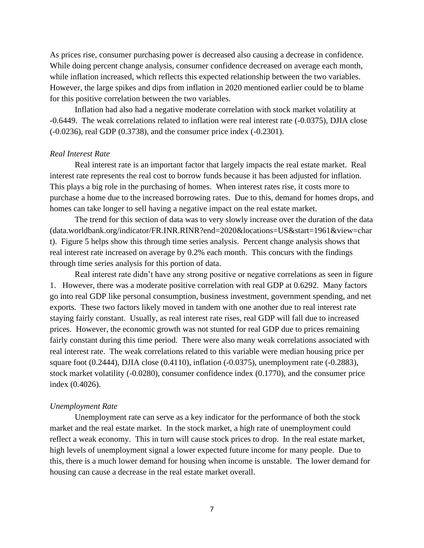As prices rise, consumer purchasing power is decreased also causing a decrease in confidence. While doing percent change analysis, consumer confidence decreased on average each month, while inflation increased, which reflects this expected relationship between the two variables. However, the large spikes and dips from inflation in 2020 mentioned earlier could be to blame for this positive correlation between the two variables.

 Inflation had also had a negative moderate correlation with stock market volatility at -0.6449. The weak correlations related to inflation were real interest rate (-0.0375), DJIA close (-0.0236), real GDP (0.3738), and the consumer price index (-0.2301).

#### *Real Interest Rate*

 Real interest rate is an important factor that largely impacts the real estate market. Real interest rate represents the real cost to borrow funds because it has been adjusted for inflation. This plays a big role in the purchasing of homes. When interest rates rise, it costs more to purchase a home due to the increased borrowing rates. Due to this, demand for homes drops, and homes can take longer to sell having a negative impact on the real estate market.

 The trend for this section of data was to very slowly increase over the duration of the data (data.worldbank.org/indicator/FR.INR.RINR?end=2020&locations=US&start=1961&view=char t). Figure 5 helps show this through time series analysis. Percent change analysis shows that real interest rate increased on average by 0.2% each month. This concurs with the findings through time series analysis for this portion of data.

 Real interest rate didn't have any strong positive or negative correlations as seen in figure 1. However, there was a moderate positive correlation with real GDP at 0.6292. Many factors go into real GDP like personal consumption, business investment, government spending, and net exports. These two factors likely moved in tandem with one another due to real interest rate staying fairly constant. Usually, as real interest rate rises, real GDP will fall due to increased prices. However, the economic growth was not stunted for real GDP due to prices remaining fairly constant during this time period. There were also many weak correlations associated with real interest rate. The weak correlations related to this variable were median housing price per square foot (0.2444), DJIA close (0.4110), inflation (-0.0375), unemployment rate (-0.2883), stock market volatility (-0.0280), consumer confidence index (0.1770), and the consumer price index (0.4026).

#### *Unemployment Rate*

 Unemployment rate can serve as a key indicator for the performance of both the stock market and the real estate market. In the stock market, a high rate of unemployment could reflect a weak economy. This in turn will cause stock prices to drop. In the real estate market, high levels of unemployment signal a lower expected future income for many people. Due to this, there is a much lower demand for housing when income is unstable. The lower demand for housing can cause a decrease in the real estate market overall.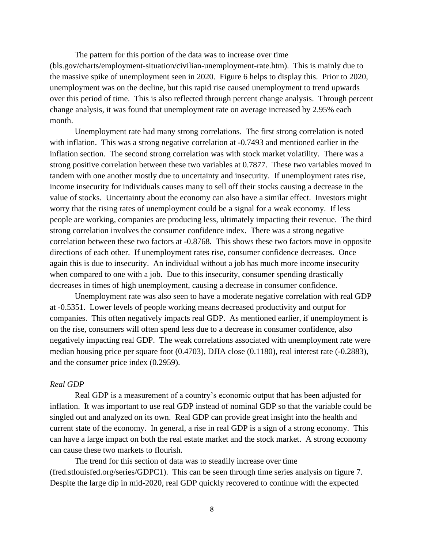The pattern for this portion of the data was to increase over time (bls.gov/charts/employment-situation/civilian-unemployment-rate.htm). This is mainly due to the massive spike of unemployment seen in 2020. Figure 6 helps to display this. Prior to 2020, unemployment was on the decline, but this rapid rise caused unemployment to trend upwards over this period of time. This is also reflected through percent change analysis. Through percent change analysis, it was found that unemployment rate on average increased by 2.95% each month.

 Unemployment rate had many strong correlations. The first strong correlation is noted with inflation. This was a strong negative correlation at -0.7493 and mentioned earlier in the inflation section. The second strong correlation was with stock market volatility. There was a strong positive correlation between these two variables at 0.7877. These two variables moved in tandem with one another mostly due to uncertainty and insecurity. If unemployment rates rise, income insecurity for individuals causes many to sell off their stocks causing a decrease in the value of stocks. Uncertainty about the economy can also have a similar effect. Investors might worry that the rising rates of unemployment could be a signal for a weak economy. If less people are working, companies are producing less, ultimately impacting their revenue. The third strong correlation involves the consumer confidence index. There was a strong negative correlation between these two factors at -0.8768. This shows these two factors move in opposite directions of each other. If unemployment rates rise, consumer confidence decreases. Once again this is due to insecurity. An individual without a job has much more income insecurity when compared to one with a job. Due to this insecurity, consumer spending drastically decreases in times of high unemployment, causing a decrease in consumer confidence.

 Unemployment rate was also seen to have a moderate negative correlation with real GDP at -0.5351. Lower levels of people working means decreased productivity and output for companies. This often negatively impacts real GDP. As mentioned earlier, if unemployment is on the rise, consumers will often spend less due to a decrease in consumer confidence, also negatively impacting real GDP. The weak correlations associated with unemployment rate were median housing price per square foot (0.4703), DJIA close (0.1180), real interest rate (-0.2883), and the consumer price index (0.2959).

#### *Real GDP*

 Real GDP is a measurement of a country's economic output that has been adjusted for inflation. It was important to use real GDP instead of nominal GDP so that the variable could be singled out and analyzed on its own. Real GDP can provide great insight into the health and current state of the economy. In general, a rise in real GDP is a sign of a strong economy. This can have a large impact on both the real estate market and the stock market. A strong economy can cause these two markets to flourish.

 The trend for this section of data was to steadily increase over time (fred.stlouisfed.org/series/GDPC1). This can be seen through time series analysis on figure 7. Despite the large dip in mid-2020, real GDP quickly recovered to continue with the expected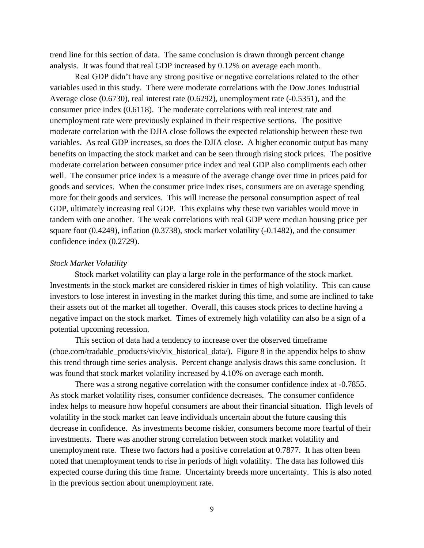trend line for this section of data. The same conclusion is drawn through percent change analysis. It was found that real GDP increased by 0.12% on average each month.

 Real GDP didn't have any strong positive or negative correlations related to the other variables used in this study. There were moderate correlations with the Dow Jones Industrial Average close (0.6730), real interest rate (0.6292), unemployment rate (-0.5351), and the consumer price index (0.6118). The moderate correlations with real interest rate and unemployment rate were previously explained in their respective sections. The positive moderate correlation with the DJIA close follows the expected relationship between these two variables. As real GDP increases, so does the DJIA close. A higher economic output has many benefits on impacting the stock market and can be seen through rising stock prices. The positive moderate correlation between consumer price index and real GDP also compliments each other well. The consumer price index is a measure of the average change over time in prices paid for goods and services. When the consumer price index rises, consumers are on average spending more for their goods and services. This will increase the personal consumption aspect of real GDP, ultimately increasing real GDP. This explains why these two variables would move in tandem with one another. The weak correlations with real GDP were median housing price per square foot (0.4249), inflation (0.3738), stock market volatility (-0.1482), and the consumer confidence index (0.2729).

#### *Stock Market Volatility*

 Stock market volatility can play a large role in the performance of the stock market. Investments in the stock market are considered riskier in times of high volatility. This can cause investors to lose interest in investing in the market during this time, and some are inclined to take their assets out of the market all together. Overall, this causes stock prices to decline having a negative impact on the stock market. Times of extremely high volatility can also be a sign of a potential upcoming recession.

 This section of data had a tendency to increase over the observed timeframe (cboe.com/tradable\_products/vix/vix\_historical\_data/). Figure 8 in the appendix helps to show this trend through time series analysis. Percent change analysis draws this same conclusion. It was found that stock market volatility increased by 4.10% on average each month.

 There was a strong negative correlation with the consumer confidence index at -0.7855. As stock market volatility rises, consumer confidence decreases. The consumer confidence index helps to measure how hopeful consumers are about their financial situation. High levels of volatility in the stock market can leave individuals uncertain about the future causing this decrease in confidence. As investments become riskier, consumers become more fearful of their investments. There was another strong correlation between stock market volatility and unemployment rate. These two factors had a positive correlation at 0.7877. It has often been noted that unemployment tends to rise in periods of high volatility. The data has followed this expected course during this time frame. Uncertainty breeds more uncertainty. This is also noted in the previous section about unemployment rate.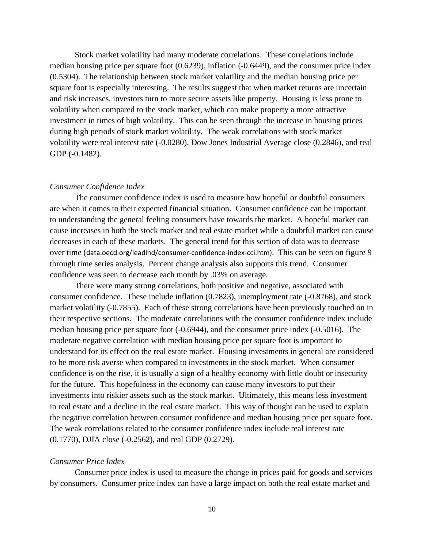Stock market volatility had many moderate correlations. These correlations include median housing price per square foot (0.6239), inflation (-0.6449), and the consumer price index (0.5304). The relationship between stock market volatility and the median housing price per square foot is especially interesting. The results suggest that when market returns are uncertain and risk increases, investors turn to more secure assets like property. Housing is less prone to volatility when compared to the stock market, which can make property a more attractive investment in times of high volatility. This can be seen through the increase in housing prices during high periods of stock market volatility. The weak correlations with stock market volatility were real interest rate (-0.0280), Dow Jones Industrial Average close (0.2846), and real GDP (-0.1482).

#### *Consumer Confidence Index*

 The consumer confidence index is used to measure how hopeful or doubtful consumers are when it comes to their expected financial situation. Consumer confidence can be important to understanding the general feeling consumers have towards the market. A hopeful market can cause increases in both the stock market and real estate market while a doubtful market can cause decreases in each of these markets. The general trend for this section of data was to decrease over time (data.oecd.org/leadind/consumer-confidence-index-cci.htm). This can be seen on figure 9 through time series analysis. Percent change analysis also supports this trend. Consumer confidence was seen to decrease each month by .03% on average.

 There were many strong correlations, both positive and negative, associated with consumer confidence. These include inflation (0.7823), unemployment rate (-0.8768), and stock market volatility (-0.7855). Each of these strong correlations have been previously touched on in their respective sections. The moderate correlations with the consumer confidence index include median housing price per square foot (-0.6944), and the consumer price index (-0.5016). The moderate negative correlation with median housing price per square foot is important to understand for its effect on the real estate market. Housing investments in general are considered to be more risk averse when compared to investments in the stock market. When consumer confidence is on the rise, it is usually a sign of a healthy economy with little doubt or insecurity for the future. This hopefulness in the economy can cause many investors to put their investments into riskier assets such as the stock market. Ultimately, this means less investment in real estate and a decline in the real estate market. This way of thought can be used to explain the negative correlation between consumer confidence and median housing price per square foot. The weak correlations related to the consumer confidence index include real interest rate (0.1770), DJIA close (-0.2562), and real GDP (0.2729).

#### *Consumer Price Index*

 Consumer price index is used to measure the change in prices paid for goods and services by consumers. Consumer price index can have a large impact on both the real estate market and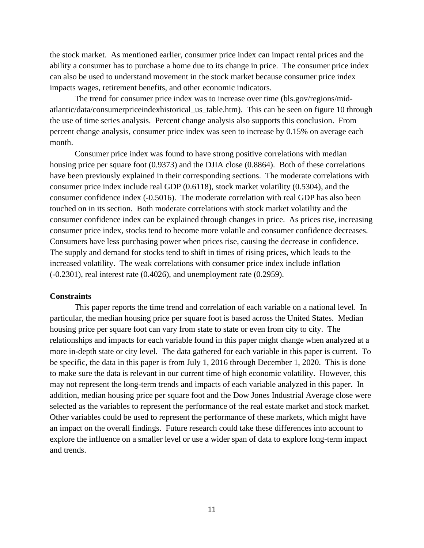the stock market. As mentioned earlier, consumer price index can impact rental prices and the ability a consumer has to purchase a home due to its change in price. The consumer price index can also be used to understand movement in the stock market because consumer price index impacts wages, retirement benefits, and other economic indicators.

 The trend for consumer price index was to increase over time (bls.gov/regions/midatlantic/data/consumerpriceindexhistorical\_us\_table.htm). This can be seen on figure 10 through the use of time series analysis. Percent change analysis also supports this conclusion. From percent change analysis, consumer price index was seen to increase by 0.15% on average each month.

 Consumer price index was found to have strong positive correlations with median housing price per square foot (0.9373) and the DJIA close (0.8864). Both of these correlations have been previously explained in their corresponding sections. The moderate correlations with consumer price index include real GDP (0.6118), stock market volatility (0.5304), and the consumer confidence index (-0.5016). The moderate correlation with real GDP has also been touched on in its section. Both moderate correlations with stock market volatility and the consumer confidence index can be explained through changes in price. As prices rise, increasing consumer price index, stocks tend to become more volatile and consumer confidence decreases. Consumers have less purchasing power when prices rise, causing the decrease in confidence. The supply and demand for stocks tend to shift in times of rising prices, which leads to the increased volatility. The weak correlations with consumer price index include inflation (-0.2301), real interest rate (0.4026), and unemployment rate (0.2959).

#### **Constraints**

 This paper reports the time trend and correlation of each variable on a national level. In particular, the median housing price per square foot is based across the United States. Median housing price per square foot can vary from state to state or even from city to city. The relationships and impacts for each variable found in this paper might change when analyzed at a more in-depth state or city level. The data gathered for each variable in this paper is current. To be specific, the data in this paper is from July 1, 2016 through December 1, 2020. This is done to make sure the data is relevant in our current time of high economic volatility. However, this may not represent the long-term trends and impacts of each variable analyzed in this paper. In addition, median housing price per square foot and the Dow Jones Industrial Average close were selected as the variables to represent the performance of the real estate market and stock market. Other variables could be used to represent the performance of these markets, which might have an impact on the overall findings. Future research could take these differences into account to explore the influence on a smaller level or use a wider span of data to explore long-term impact and trends.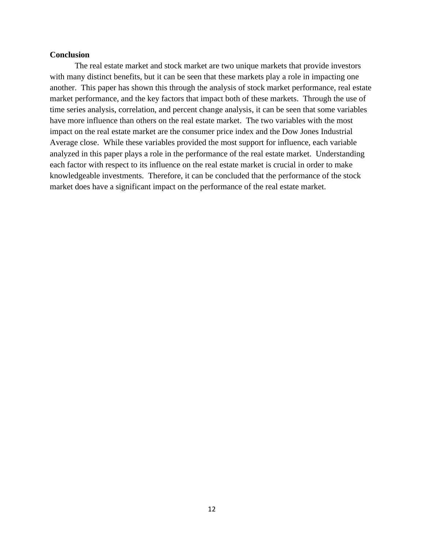#### **Conclusion**

 The real estate market and stock market are two unique markets that provide investors with many distinct benefits, but it can be seen that these markets play a role in impacting one another. This paper has shown this through the analysis of stock market performance, real estate market performance, and the key factors that impact both of these markets. Through the use of time series analysis, correlation, and percent change analysis, it can be seen that some variables have more influence than others on the real estate market. The two variables with the most impact on the real estate market are the consumer price index and the Dow Jones Industrial Average close. While these variables provided the most support for influence, each variable analyzed in this paper plays a role in the performance of the real estate market. Understanding each factor with respect to its influence on the real estate market is crucial in order to make knowledgeable investments. Therefore, it can be concluded that the performance of the stock market does have a significant impact on the performance of the real estate market.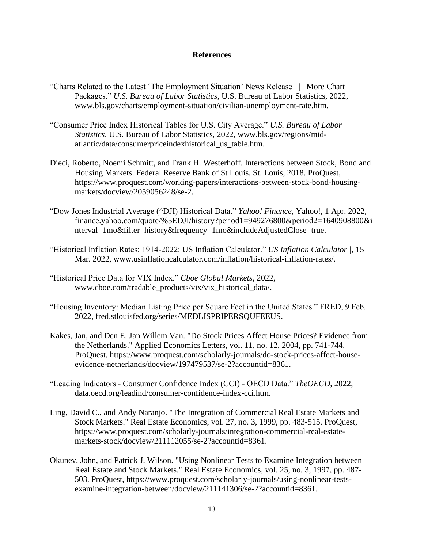#### **References**

- "Charts Related to the Latest 'The Employment Situation' News Release | More Chart Packages." *U.S. Bureau of Labor Statistics*, U.S. Bureau of Labor Statistics, 2022, www.bls.gov/charts/employment-situation/civilian-unemployment-rate.htm.
- "Consumer Price Index Historical Tables for U.S. City Average." *U.S. Bureau of Labor Statistics*, U.S. Bureau of Labor Statistics, 2022, www.bls.gov/regions/midatlantic/data/consumerpriceindexhistorical\_us\_table.htm.
- Dieci, Roberto, Noemi Schmitt, and Frank H. Westerhoff. Interactions between Stock, Bond and Housing Markets. Federal Reserve Bank of St Louis, St. Louis, 2018. ProQuest, https://www.proquest.com/working-papers/interactions-between-stock-bond-housingmarkets/docview/2059056248/se-2.
- "Dow Jones Industrial Average (^DJI) Historical Data." *Yahoo! Finance*, Yahoo!, 1 Apr. 2022, finance.yahoo.com/quote/%5EDJI/history?period1=949276800&period2=1640908800&i nterval=1mo&filter=history&frequency=1mo&includeAdjustedClose=true.
- "Historical Inflation Rates: 1914-2022: US Inflation Calculator." *US Inflation Calculator |*, 15 Mar. 2022, www.usinflationcalculator.com/inflation/historical-inflation-rates/.
- "Historical Price Data for VIX Index." *Cboe Global Markets*, 2022, www.cboe.com/tradable\_products/vix/vix\_historical\_data/.
- "Housing Inventory: Median Listing Price per Square Feet in the United States." FRED, 9 Feb. 2022, fred.stlouisfed.org/series/MEDLISPRIPERSQUFEEUS.
- Kakes, Jan, and Den E. Jan Willem Van. "Do Stock Prices Affect House Prices? Evidence from the Netherlands." Applied Economics Letters, vol. 11, no. 12, 2004, pp. 741-744. ProQuest, https://www.proquest.com/scholarly-journals/do-stock-prices-affect-houseevidence-netherlands/docview/197479537/se-2?accountid=8361.
- "Leading Indicators Consumer Confidence Index (CCI) OECD Data." *TheOECD*, 2022, data.oecd.org/leadind/consumer-confidence-index-cci.htm.
- Ling, David C., and Andy Naranjo. "The Integration of Commercial Real Estate Markets and Stock Markets." Real Estate Economics, vol. 27, no. 3, 1999, pp. 483-515. ProQuest, https://www.proquest.com/scholarly-journals/integration-commercial-real-estatemarkets-stock/docview/211112055/se-2?accountid=8361.
- Okunev, John, and Patrick J. Wilson. "Using Nonlinear Tests to Examine Integration between Real Estate and Stock Markets." Real Estate Economics, vol. 25, no. 3, 1997, pp. 487- 503. ProQuest, https://www.proquest.com/scholarly-journals/using-nonlinear-testsexamine-integration-between/docview/211141306/se-2?accountid=8361.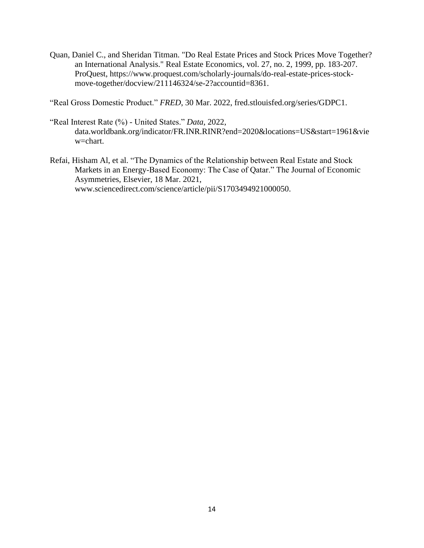Quan, Daniel C., and Sheridan Titman. "Do Real Estate Prices and Stock Prices Move Together? an International Analysis." Real Estate Economics, vol. 27, no. 2, 1999, pp. 183-207. ProQuest, https://www.proquest.com/scholarly-journals/do-real-estate-prices-stockmove-together/docview/211146324/se-2?accountid=8361.

"Real Gross Domestic Product." *FRED*, 30 Mar. 2022, fred.stlouisfed.org/series/GDPC1.

- "Real Interest Rate (%) United States." *Data*, 2022, data.worldbank.org/indicator/FR.INR.RINR?end=2020&locations=US&start=1961&vie w=chart.
- Refai, Hisham Al, et al. "The Dynamics of the Relationship between Real Estate and Stock Markets in an Energy-Based Economy: The Case of Qatar." The Journal of Economic Asymmetries, Elsevier, 18 Mar. 2021, www.sciencedirect.com/science/article/pii/S1703494921000050.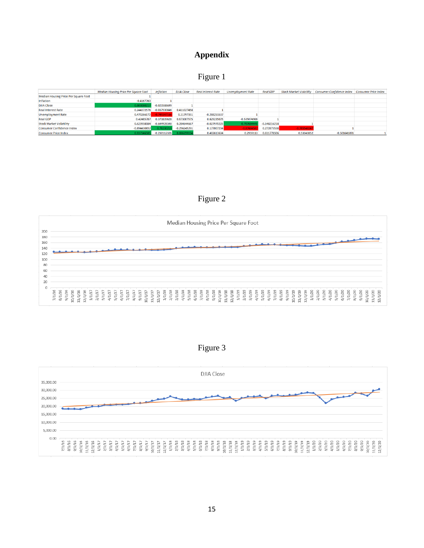## **Appendix**

## Figure 1

|                                      | Median Housing Price Per Square Foot | <b>Inflation</b> | <b>DJIA Close</b> | <b>Real Interest Rate</b> | <b>Unemployment Rate</b> | <b>Real GDP</b> | Stock Market Volatility | Consumer Confidence Index   Consumer Price Index |  |
|--------------------------------------|--------------------------------------|------------------|-------------------|---------------------------|--------------------------|-----------------|-------------------------|--------------------------------------------------|--|
| Median Housing Price Per Square Foot |                                      |                  |                   |                           |                          |                 |                         |                                                  |  |
| Inflation                            | $-0.4167763$                         |                  |                   |                           |                          |                 |                         |                                                  |  |
| <b>DJIA Close</b>                    | 0.80308021                           | $-0.023588699$   |                   |                           |                          |                 |                         |                                                  |  |
| <b>Real Interest Rate</b>            | 0.244372576                          | $-0.037530846$   | 0.411027458       |                           |                          |                 |                         |                                                  |  |
| <b>Unemployment Rate</b>             | 0.470266172                          | 0.749347166      | 0.11797351        | $-0.288253537$            |                          |                 |                         |                                                  |  |
| <b>Real GDP</b>                      | 0.42485787                           | 0.373839628      | 0.673007975       | 0.629235075               | $-0.535074986$           |                 |                         |                                                  |  |
| <b>Stock Market Volatility</b>       | 0.623938084                          | $-0.644928348$   | 0.284644667       | $-0.027970225$            | 0.787684441              | $-0.148216218$  |                         |                                                  |  |
| Consumer Confidence Index            | $-0.694430652$                       | 0.7823021        | $-0.256245291$    | 0.177007234               | $-0.8768458$             | 0.272873538     | $-0.785548247$          |                                                  |  |
| <b>Consumer Price Index</b>          | 0.93734658                           | $-0.230112326$   | 0.886359154       | 0.402613634               | 0.2959113                | 0.611778506     | 0.53043852              | $-0.501641891$                                   |  |

Figure 2



Figure 3

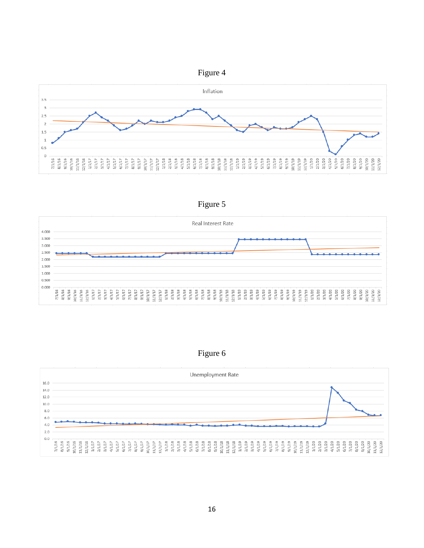





Figure 6

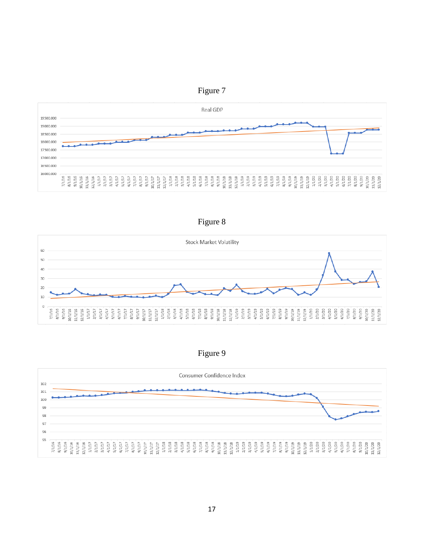

Figure 8



Figure 9